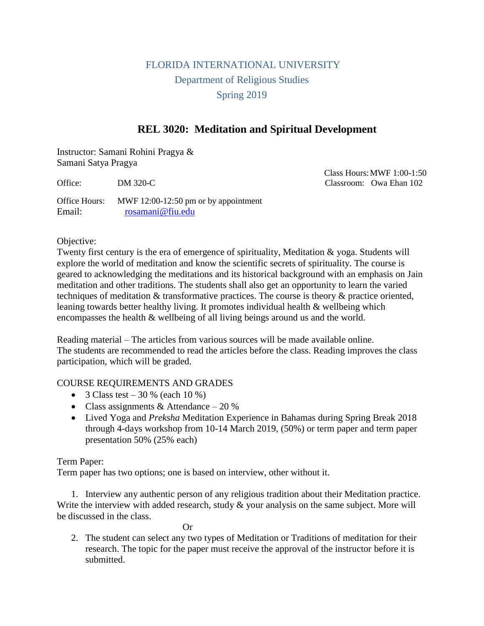# FLORIDA INTERNATIONAL UNIVERSITY Department of Religious Studies Spring 2019

## **REL 3020: Meditation and Spiritual Development**

Instructor: Samani Rohini Pragya & Samani Satya Pragya

 Class Hours:MWF 1:00-1:50 Office: DM 320-C Classroom: Owa Ehan 102

Office Hours: MWF 12:00-12:50 pm or by appointment Email: [rosamani@fiu.edu](mailto:rosamani@fiu.edu)

### Objective:

Twenty first century is the era of emergence of spirituality, Meditation & yoga. Students will explore the world of meditation and know the scientific secrets of spirituality. The course is geared to acknowledging the meditations and its historical background with an emphasis on Jain meditation and other traditions. The students shall also get an opportunity to learn the varied techniques of meditation & transformative practices. The course is theory & practice oriented, leaning towards better healthy living. It promotes individual health & wellbeing which encompasses the health & wellbeing of all living beings around us and the world.

Reading material – The articles from various sources will be made available online. The students are recommended to read the articles before the class. Reading improves the class participation, which will be graded.

### COURSE REQUIREMENTS AND GRADES

- 3 Class test 30 % (each 10 %)
- Class assignments & Attendance  $-20\%$
- Lived Yoga and *Preksha* Meditation Experience in Bahamas during Spring Break 2018 through 4-days workshop from 10-14 March 2019, (50%) or term paper and term paper presentation 50% (25% each)

### Term Paper:

Term paper has two options; one is based on interview, other without it.

1. Interview any authentic person of any religious tradition about their Meditation practice. Write the interview with added research, study  $\&$  your analysis on the same subject. More will be discussed in the class.

Or

2. The student can select any two types of Meditation or Traditions of meditation for their research. The topic for the paper must receive the approval of the instructor before it is submitted.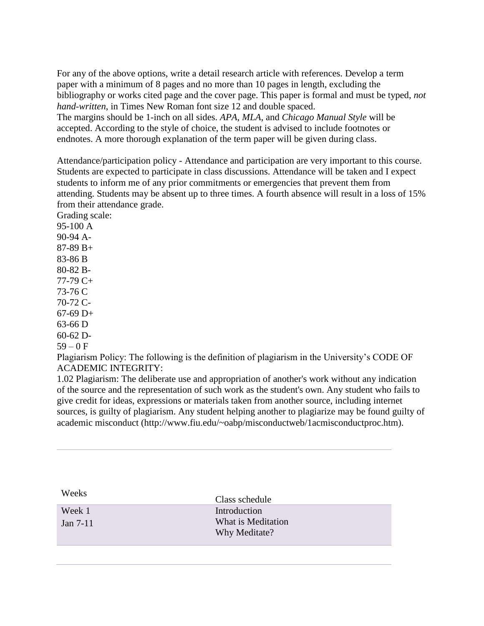For any of the above options, write a detail research article with references. Develop a term paper with a minimum of 8 pages and no more than 10 pages in length, excluding the bibliography or works cited page and the cover page. This paper is formal and must be typed, *not hand-written*, in Times New Roman font size 12 and double spaced.

The margins should be 1-inch on all sides. *APA*, *MLA*, and *Chicago Manual Style* will be accepted. According to the style of choice, the student is advised to include footnotes or endnotes. A more thorough explanation of the term paper will be given during class.

Attendance/participation policy - Attendance and participation are very important to this course. Students are expected to participate in class discussions. Attendance will be taken and I expect students to inform me of any prior commitments or emergencies that prevent them from attending. Students may be absent up to three times. A fourth absence will result in a loss of 15% from their attendance grade.

Grading scale: 95-100 A 90-94 A-87-89 B+ 83-86 B 80-82 B-77-79 C+ 73-76 C 70-72 C-67-69 D+ 63-66 D 60-62 D- $59 - 0 F$ 

Plagiarism Policy: The following is the definition of plagiarism in the University's CODE OF ACADEMIC INTEGRITY:

1.02 Plagiarism: The deliberate use and appropriation of another's work without any indication of the source and the representation of such work as the student's own. Any student who fails to give credit for ideas, expressions or materials taken from another source, including internet sources, is guilty of plagiarism. Any student helping another to plagiarize may be found guilty of academic misconduct (http://www.fiu.edu/~oabp/misconductweb/1acmisconductproc.htm).

| Weeks                | Class schedule                                      |
|----------------------|-----------------------------------------------------|
| Week 1<br>Jan $7-11$ | Introduction<br>What is Meditation<br>Why Meditate? |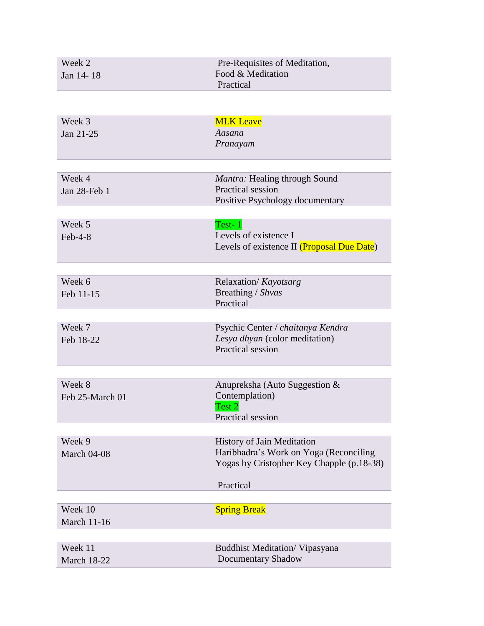| Week 2             | Pre-Requisites of Meditation,                                      |
|--------------------|--------------------------------------------------------------------|
| Jan 14-18          | Food & Meditation                                                  |
|                    | Practical                                                          |
|                    |                                                                    |
| Week 3             | <b>MLK Leave</b>                                                   |
| Jan 21-25          | Aasana                                                             |
|                    | Pranayam                                                           |
|                    |                                                                    |
|                    |                                                                    |
| Week 4             | Mantra: Healing through Sound<br>Practical session                 |
| Jan 28-Feb 1       | Positive Psychology documentary                                    |
|                    |                                                                    |
| Week 5             | Test-1                                                             |
| $Feb-4-8$          | Levels of existence I                                              |
|                    | Levels of existence II (Proposal Due Date)                         |
|                    |                                                                    |
| Week 6             | Relaxation/Kayotsarg                                               |
| Feb 11-15          | Breathing / Shvas                                                  |
|                    | Practical                                                          |
|                    |                                                                    |
| Week 7             | Psychic Center / chaitanya Kendra                                  |
| Feb 18-22          | Lesya dhyan (color meditation)                                     |
|                    | <b>Practical session</b>                                           |
|                    |                                                                    |
| Week 8             | Anupreksha (Auto Suggestion &                                      |
| Feb 25-March 01    | Contemplation)                                                     |
|                    | Test 2                                                             |
|                    | Practical session                                                  |
| Week 9             | History of Jain Meditation                                         |
| March 04-08        | Haribhadra's Work on Yoga (Reconciling                             |
|                    | Yogas by Cristopher Key Chapple (p.18-38)                          |
|                    |                                                                    |
|                    | Practical                                                          |
|                    |                                                                    |
| Week 10            | <b>Spring Break</b>                                                |
| <b>March 11-16</b> |                                                                    |
| Week 11            |                                                                    |
| <b>March 18-22</b> | <b>Buddhist Meditation/ Vipasyana</b><br><b>Documentary Shadow</b> |
|                    |                                                                    |